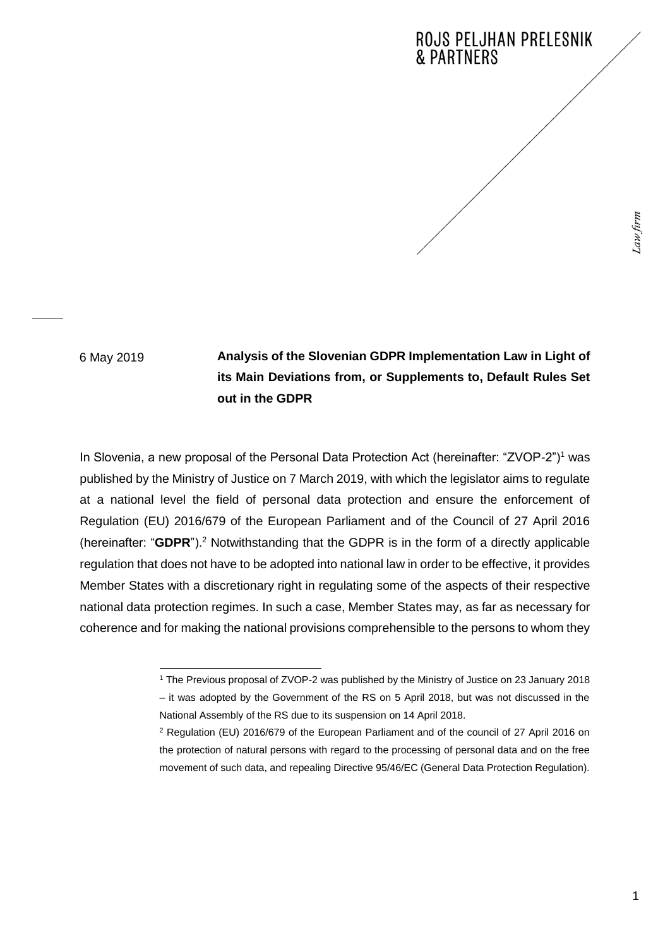## **ROJS PELJHAN PRELESNIK & PARTNERS**

6 May 2019

**Analysis of the Slovenian GDPR Implementation Law in Light of its Main Deviations from, or Supplements to, Default Rules Set out in the GDPR**

In Slovenia, a new proposal of the Personal Data Protection Act (hereinafter: "ZVOP-2")<sup>1</sup> was published by the Ministry of Justice on 7 March 2019, with which the legislator aims to regulate at a national level the field of personal data protection and ensure the enforcement of Regulation (EU) 2016/679 of the European Parliament and of the Council of 27 April 2016 (hereinafter: "**GDPR**").<sup>2</sup> Notwithstanding that the GDPR is in the form of a directly applicable regulation that does not have to be adopted into national law in order to be effective, it provides Member States with a discretionary right in regulating some of the aspects of their respective national data protection regimes. In such a case, Member States may, as far as necessary for coherence and for making the national provisions comprehensible to the persons to whom they

<sup>1</sup> <sup>1</sup> The Previous proposal of ZVOP-2 was published by the Ministry of Justice on 23 January 2018 – it was adopted by the Government of the RS on 5 April 2018, but was not discussed in the National Assembly of the RS due to its suspension on 14 April 2018.

<sup>2</sup> Regulation (EU) 2016/679 of the European Parliament and of the council of 27 April 2016 on the protection of natural persons with regard to the processing of personal data and on the free movement of such data, and repealing Directive 95/46/EC (General Data Protection Regulation).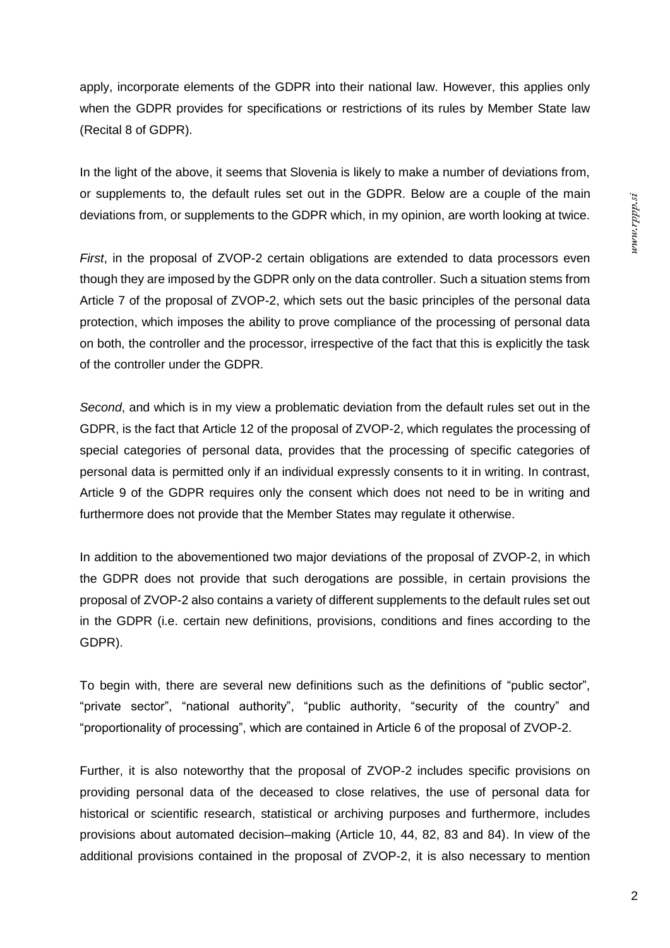apply, incorporate elements of the GDPR into their national law. However, this applies only when the GDPR provides for specifications or restrictions of its rules by Member State law (Recital 8 of GDPR).

In the light of the above, it seems that Slovenia is likely to make a number of deviations from, or supplements to, the default rules set out in the GDPR. Below are a couple of the main deviations from, or supplements to the GDPR which, in my opinion, are worth looking at twice.

*First*, in the proposal of ZVOP-2 certain obligations are extended to data processors even though they are imposed by the GDPR only on the data controller. Such a situation stems from Article 7 of the proposal of ZVOP-2, which sets out the basic principles of the personal data protection, which imposes the ability to prove compliance of the processing of personal data on both, the controller and the processor, irrespective of the fact that this is explicitly the task of the controller under the GDPR.

*Second*, and which is in my view a problematic deviation from the default rules set out in the GDPR, is the fact that Article 12 of the proposal of ZVOP-2, which regulates the processing of special categories of personal data, provides that the processing of specific categories of personal data is permitted only if an individual expressly consents to it in writing. In contrast, Article 9 of the GDPR requires only the consent which does not need to be in writing and furthermore does not provide that the Member States may regulate it otherwise.

In addition to the abovementioned two major deviations of the proposal of ZVOP-2, in which the GDPR does not provide that such derogations are possible, in certain provisions the proposal of ZVOP-2 also contains a variety of different supplements to the default rules set out in the GDPR (i.e. certain new definitions, provisions, conditions and fines according to the GDPR).

To begin with, there are several new definitions such as the definitions of "public sector", "private sector", "national authority", "public authority, "security of the country" and "proportionality of processing", which are contained in Article 6 of the proposal of ZVOP-2.

Further, it is also noteworthy that the proposal of ZVOP-2 includes specific provisions on providing personal data of the deceased to close relatives, the use of personal data for historical or scientific research, statistical or archiving purposes and furthermore, includes provisions about automated decision–making (Article 10, 44, 82, 83 and 84). In view of the additional provisions contained in the proposal of ZVOP-2, it is also necessary to mention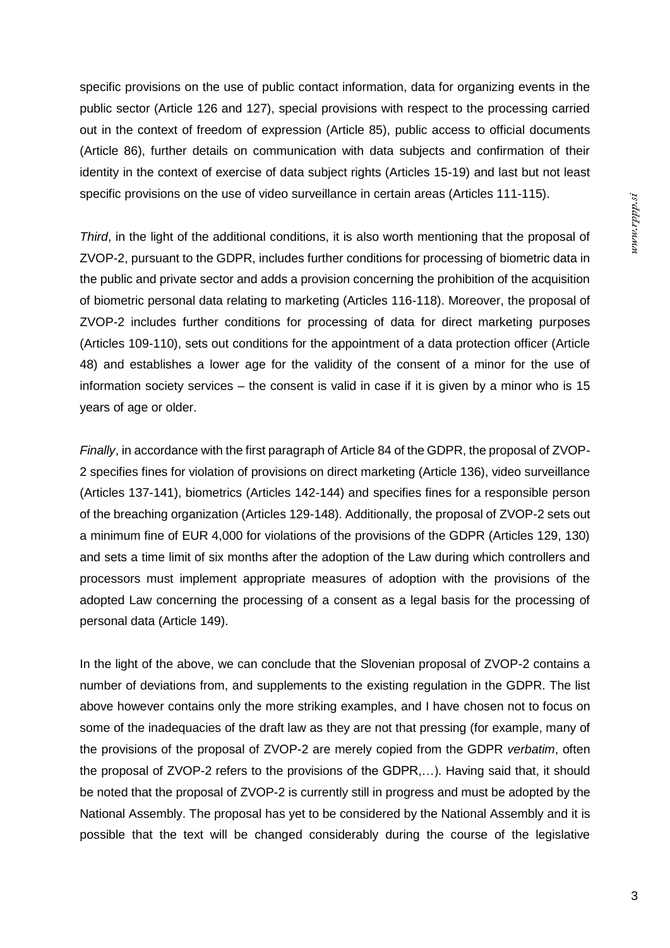sciddx.mm

specific provisions on the use of public contact information, data for organizing events in the public sector (Article 126 and 127), special provisions with respect to the processing carried out in the context of freedom of expression (Article 85), public access to official documents (Article 86), further details on communication with data subjects and confirmation of their identity in the context of exercise of data subject rights (Articles 15-19) and last but not least specific provisions on the use of video surveillance in certain areas (Articles 111-115).

*Third*, in the light of the additional conditions, it is also worth mentioning that the proposal of ZVOP-2, pursuant to the GDPR, includes further conditions for processing of biometric data in the public and private sector and adds a provision concerning the prohibition of the acquisition of biometric personal data relating to marketing (Articles 116-118). Moreover, the proposal of ZVOP-2 includes further conditions for processing of data for direct marketing purposes (Articles 109-110), sets out conditions for the appointment of a data protection officer (Article 48) and establishes a lower age for the validity of the consent of a minor for the use of information society services – the consent is valid in case if it is given by a minor who is 15 years of age or older.

*Finally*, in accordance with the first paragraph of Article 84 of the GDPR, the proposal of ZVOP-2 specifies fines for violation of provisions on direct marketing (Article 136), video surveillance (Articles 137-141), biometrics (Articles 142-144) and specifies fines for a responsible person of the breaching organization (Articles 129-148). Additionally, the proposal of ZVOP-2 sets out a minimum fine of EUR 4,000 for violations of the provisions of the GDPR (Articles 129, 130) and sets a time limit of six months after the adoption of the Law during which controllers and processors must implement appropriate measures of adoption with the provisions of the adopted Law concerning the processing of a consent as a legal basis for the processing of personal data (Article 149).

In the light of the above, we can conclude that the Slovenian proposal of ZVOP-2 contains a number of deviations from, and supplements to the existing regulation in the GDPR. The list above however contains only the more striking examples, and I have chosen not to focus on some of the inadequacies of the draft law as they are not that pressing (for example, many of the provisions of the proposal of ZVOP-2 are merely copied from the GDPR *verbatim*, often the proposal of ZVOP-2 refers to the provisions of the GDPR,…). Having said that, it should be noted that the proposal of ZVOP-2 is currently still in progress and must be adopted by the National Assembly. The proposal has yet to be considered by the National Assembly and it is possible that the text will be changed considerably during the course of the legislative